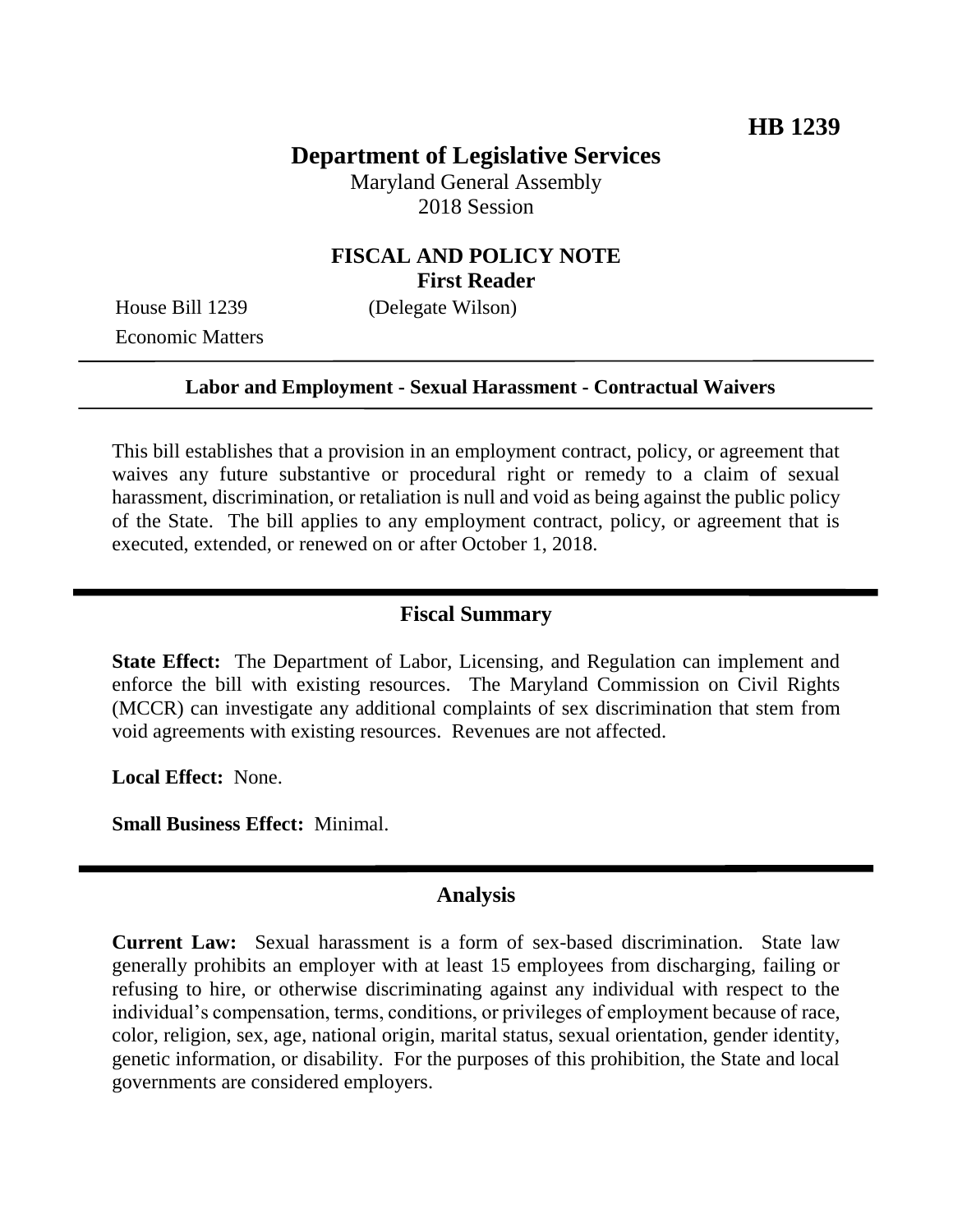# **Department of Legislative Services**

Maryland General Assembly 2018 Session

## **FISCAL AND POLICY NOTE First Reader**

House Bill 1239 (Delegate Wilson) Economic Matters

#### **Labor and Employment - Sexual Harassment - Contractual Waivers**

This bill establishes that a provision in an employment contract, policy, or agreement that waives any future substantive or procedural right or remedy to a claim of sexual harassment, discrimination, or retaliation is null and void as being against the public policy of the State. The bill applies to any employment contract, policy, or agreement that is executed, extended, or renewed on or after October 1, 2018.

## **Fiscal Summary**

**State Effect:** The Department of Labor, Licensing, and Regulation can implement and enforce the bill with existing resources. The Maryland Commission on Civil Rights (MCCR) can investigate any additional complaints of sex discrimination that stem from void agreements with existing resources. Revenues are not affected.

**Local Effect:** None.

**Small Business Effect:** Minimal.

### **Analysis**

**Current Law:** Sexual harassment is a form of sex-based discrimination. State law generally prohibits an employer with at least 15 employees from discharging, failing or refusing to hire, or otherwise discriminating against any individual with respect to the individual's compensation, terms, conditions, or privileges of employment because of race, color, religion, sex, age, national origin, marital status, sexual orientation, gender identity, genetic information, or disability. For the purposes of this prohibition, the State and local governments are considered employers.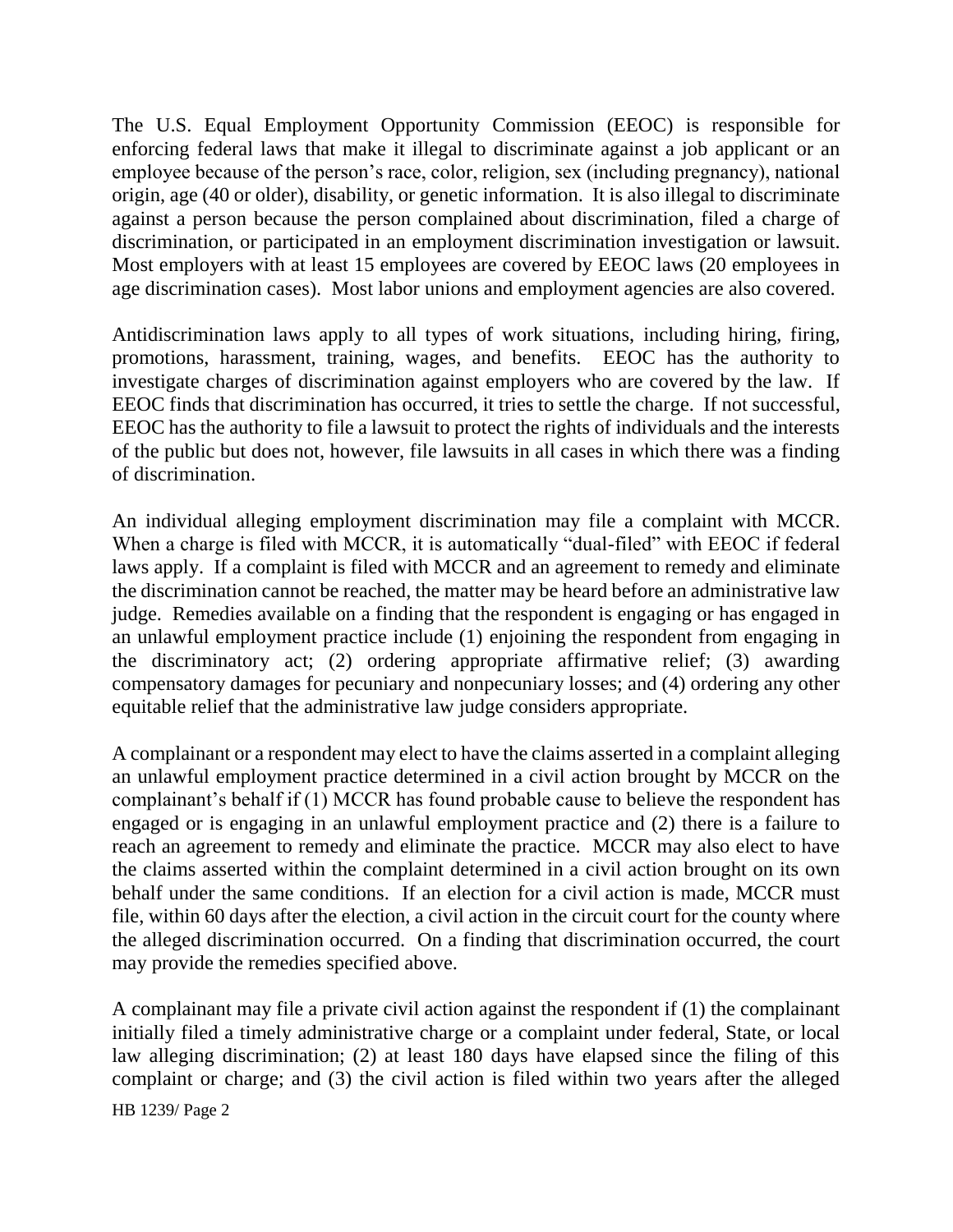The U.S. Equal Employment Opportunity Commission (EEOC) is responsible for enforcing federal laws that make it illegal to discriminate against a job applicant or an employee because of the person's race, color, religion, sex (including pregnancy), national origin, age (40 or older), disability, or genetic information. It is also illegal to discriminate against a person because the person complained about discrimination, filed a charge of discrimination, or participated in an employment discrimination investigation or lawsuit. Most employers with at least 15 employees are covered by EEOC laws (20 employees in age discrimination cases). Most labor unions and employment agencies are also covered.

Antidiscrimination laws apply to all types of work situations, including hiring, firing, promotions, harassment, training, wages, and benefits. EEOC has the authority to investigate charges of discrimination against employers who are covered by the law. If EEOC finds that discrimination has occurred, it tries to settle the charge. If not successful, EEOC has the authority to file a lawsuit to protect the rights of individuals and the interests of the public but does not, however, file lawsuits in all cases in which there was a finding of discrimination.

An individual alleging employment discrimination may file a complaint with MCCR. When a charge is filed with MCCR, it is automatically "dual-filed" with EEOC if federal laws apply. If a complaint is filed with MCCR and an agreement to remedy and eliminate the discrimination cannot be reached, the matter may be heard before an administrative law judge. Remedies available on a finding that the respondent is engaging or has engaged in an unlawful employment practice include (1) enjoining the respondent from engaging in the discriminatory act; (2) ordering appropriate affirmative relief; (3) awarding compensatory damages for pecuniary and nonpecuniary losses; and (4) ordering any other equitable relief that the administrative law judge considers appropriate.

A complainant or a respondent may elect to have the claims asserted in a complaint alleging an unlawful employment practice determined in a civil action brought by MCCR on the complainant's behalf if (1) MCCR has found probable cause to believe the respondent has engaged or is engaging in an unlawful employment practice and (2) there is a failure to reach an agreement to remedy and eliminate the practice. MCCR may also elect to have the claims asserted within the complaint determined in a civil action brought on its own behalf under the same conditions. If an election for a civil action is made, MCCR must file, within 60 days after the election, a civil action in the circuit court for the county where the alleged discrimination occurred. On a finding that discrimination occurred, the court may provide the remedies specified above.

A complainant may file a private civil action against the respondent if (1) the complainant initially filed a timely administrative charge or a complaint under federal, State, or local law alleging discrimination; (2) at least 180 days have elapsed since the filing of this complaint or charge; and (3) the civil action is filed within two years after the alleged